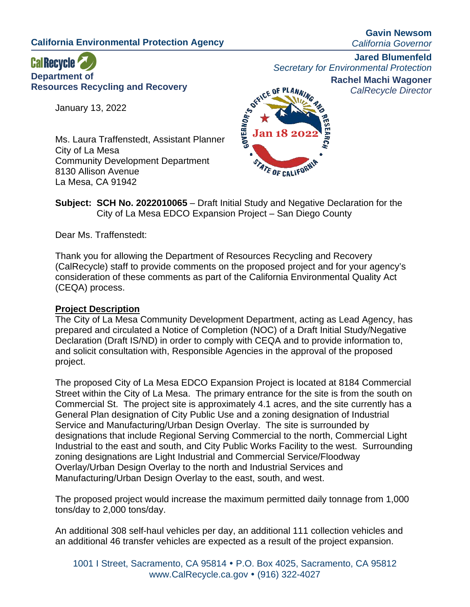**California Environmental Protection Agency**

**Gavin Newsom** *California Governor*

# **CalRecycle Department of Resources Recycling and Recovery**

January 13, 2022

Ms. Laura Traffenstedt, Assistant Planner City of La Mesa Community Development Department 8130 Allison Avenue La Mesa, CA 91942



**Jared Blumenfeld**

*Secretary for Environmental Protection* **Rachel Machi Wagoner**

*CalRecycle Director*

**Subject: SCH No. 2022010065** – Draft Initial Study and Negative Declaration for the City of La Mesa EDCO Expansion Project – San Diego County

Dear Ms. Traffenstedt:

Thank you for allowing the Department of Resources Recycling and Recovery (CalRecycle) staff to provide comments on the proposed project and for your agency's consideration of these comments as part of the California Environmental Quality Act (CEQA) process.

## **Project Description**

The City of La Mesa Community Development Department, acting as Lead Agency, has prepared and circulated a Notice of Completion (NOC) of a Draft Initial Study/Negative Declaration (Draft IS/ND) in order to comply with CEQA and to provide information to, and solicit consultation with, Responsible Agencies in the approval of the proposed project.

The proposed City of La Mesa EDCO Expansion Project is located at 8184 Commercial Street within the City of La Mesa. The primary entrance for the site is from the south on Commercial St. The project site is approximately 4.1 acres, and the site currently has a General Plan designation of City Public Use and a zoning designation of Industrial Service and Manufacturing/Urban Design Overlay. The site is surrounded by designations that include Regional Serving Commercial to the north, Commercial Light Industrial to the east and south, and City Public Works Facility to the west. Surrounding zoning designations are Light Industrial and Commercial Service/Floodway Overlay/Urban Design Overlay to the north and Industrial Services and Manufacturing/Urban Design Overlay to the east, south, and west.

The proposed project would increase the maximum permitted daily tonnage from 1,000 tons/day to 2,000 tons/day.

An additional 308 self-haul vehicles per day, an additional 111 collection vehicles and an additional 46 transfer vehicles are expected as a result of the project expansion.

1001 I Street, Sacramento, CA 95814 P.O. Box 4025, Sacramento, CA 95812 www.CalRecycle.ca.gov • (916) 322-4027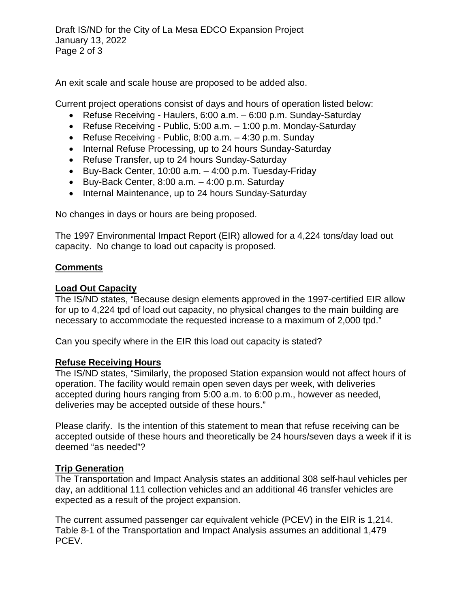Draft IS/ND for the City of La Mesa EDCO Expansion Project January 13, 2022 Page 2 of 3

An exit scale and scale house are proposed to be added also.

Current project operations consist of days and hours of operation listed below:

- Refuse Receiving Haulers, 6:00 a.m. 6:00 p.m. Sunday-Saturday
- Refuse Receiving Public, 5:00 a.m. 1:00 p.m. Monday-Saturday
- Refuse Receiving Public, 8:00 a.m. 4:30 p.m. Sunday
- Internal Refuse Processing, up to 24 hours Sunday-Saturday
- Refuse Transfer, up to 24 hours Sunday-Saturday
- Buy-Back Center, 10:00 a.m. 4:00 p.m. Tuesday-Friday
- Buy-Back Center, 8:00 a.m. 4:00 p.m. Saturday
- Internal Maintenance, up to 24 hours Sunday-Saturday

No changes in days or hours are being proposed.

The 1997 Environmental Impact Report (EIR) allowed for a 4,224 tons/day load out capacity. No change to load out capacity is proposed.

## **Comments**

#### **Load Out Capacity**

The IS/ND states, "Because design elements approved in the 1997-certified EIR allow for up to 4,224 tpd of load out capacity, no physical changes to the main building are necessary to accommodate the requested increase to a maximum of 2,000 tpd."

Can you specify where in the EIR this load out capacity is stated?

## **Refuse Receiving Hours**

The IS/ND states, "Similarly, the proposed Station expansion would not affect hours of operation. The facility would remain open seven days per week, with deliveries accepted during hours ranging from 5:00 a.m. to 6:00 p.m., however as needed, deliveries may be accepted outside of these hours."

Please clarify. Is the intention of this statement to mean that refuse receiving can be accepted outside of these hours and theoretically be 24 hours/seven days a week if it is deemed "as needed"?

## **Trip Generation**

The Transportation and Impact Analysis states an additional 308 self-haul vehicles per day, an additional 111 collection vehicles and an additional 46 transfer vehicles are expected as a result of the project expansion.

The current assumed passenger car equivalent vehicle (PCEV) in the EIR is 1,214. Table 8-1 of the Transportation and Impact Analysis assumes an additional 1,479 PCEV.